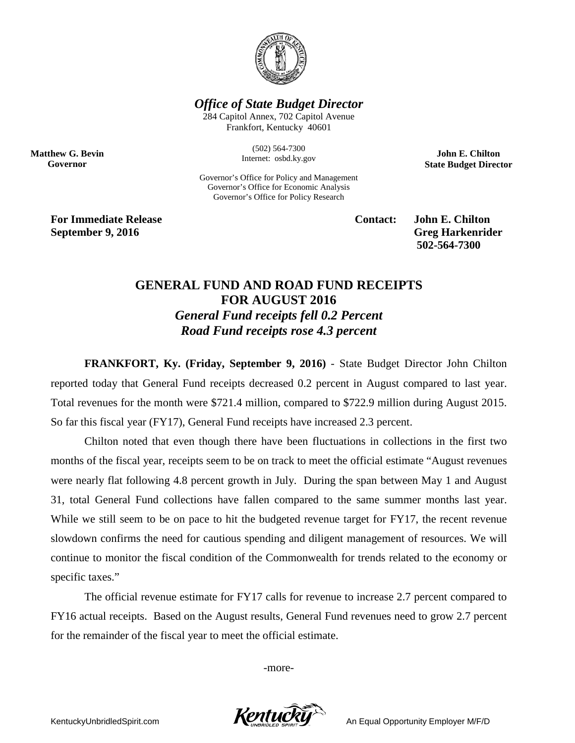

*Office of State Budget Director*

284 Capitol Annex, 702 Capitol Avenue Frankfort, Kentucky 40601

> (502) 564-7300 Internet: osbd.ky.gov

Governor's Office for Policy and Management Governor's Office for Economic Analysis Governor's Office for Policy Research

**John E. Chilton State Budget Director**

**For Immediate Release Contact: John E. Chilton September 9, 2016** Greg Harkenrider

**Matthew G. Bevin Governor**

**502-564-7300** 

## **GENERAL FUND AND ROAD FUND RECEIPTS FOR AUGUST 2016** *General Fund receipts fell 0.2 Percent Road Fund receipts rose 4.3 percent*

**FRANKFORT, Ky. (Friday, September 9, 2016)** - State Budget Director John Chilton reported today that General Fund receipts decreased 0.2 percent in August compared to last year. Total revenues for the month were \$721.4 million, compared to \$722.9 million during August 2015. So far this fiscal year (FY17), General Fund receipts have increased 2.3 percent.

Chilton noted that even though there have been fluctuations in collections in the first two months of the fiscal year, receipts seem to be on track to meet the official estimate "August revenues were nearly flat following 4.8 percent growth in July. During the span between May 1 and August 31, total General Fund collections have fallen compared to the same summer months last year. While we still seem to be on pace to hit the budgeted revenue target for FY17, the recent revenue slowdown confirms the need for cautious spending and diligent management of resources. We will continue to monitor the fiscal condition of the Commonwealth for trends related to the economy or specific taxes."

The official revenue estimate for FY17 calls for revenue to increase 2.7 percent compared to FY16 actual receipts. Based on the August results, General Fund revenues need to grow 2.7 percent for the remainder of the fiscal year to meet the official estimate.

-more-

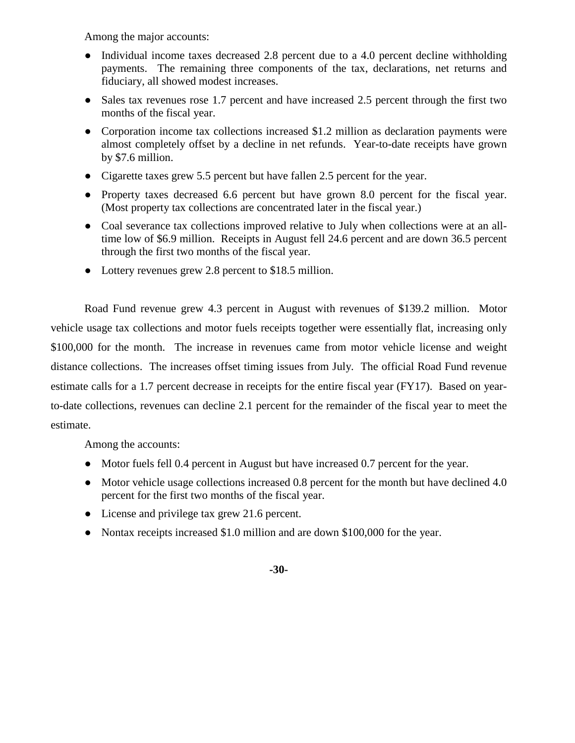Among the major accounts:

- Individual income taxes decreased 2.8 percent due to a 4.0 percent decline withholding payments. The remaining three components of the tax, declarations, net returns and fiduciary, all showed modest increases.
- Sales tax revenues rose 1.7 percent and have increased 2.5 percent through the first two months of the fiscal year.
- Corporation income tax collections increased \$1.2 million as declaration payments were almost completely offset by a decline in net refunds. Year-to-date receipts have grown by \$7.6 million.
- Cigarette taxes grew 5.5 percent but have fallen 2.5 percent for the year.
- Property taxes decreased 6.6 percent but have grown 8.0 percent for the fiscal year. (Most property tax collections are concentrated later in the fiscal year.)
- Coal severance tax collections improved relative to July when collections were at an alltime low of \$6.9 million. Receipts in August fell 24.6 percent and are down 36.5 percent through the first two months of the fiscal year.
- Lottery revenues grew 2.8 percent to \$18.5 million.

Road Fund revenue grew 4.3 percent in August with revenues of \$139.2 million. Motor vehicle usage tax collections and motor fuels receipts together were essentially flat, increasing only \$100,000 for the month. The increase in revenues came from motor vehicle license and weight distance collections. The increases offset timing issues from July. The official Road Fund revenue estimate calls for a 1.7 percent decrease in receipts for the entire fiscal year (FY17). Based on yearto-date collections, revenues can decline 2.1 percent for the remainder of the fiscal year to meet the estimate.

Among the accounts:

- Motor fuels fell 0.4 percent in August but have increased 0.7 percent for the year.
- Motor vehicle usage collections increased 0.8 percent for the month but have declined 4.0 percent for the first two months of the fiscal year.
- License and privilege tax grew 21.6 percent.
- Nontax receipts increased \$1.0 million and are down \$100,000 for the year.

## **-30-**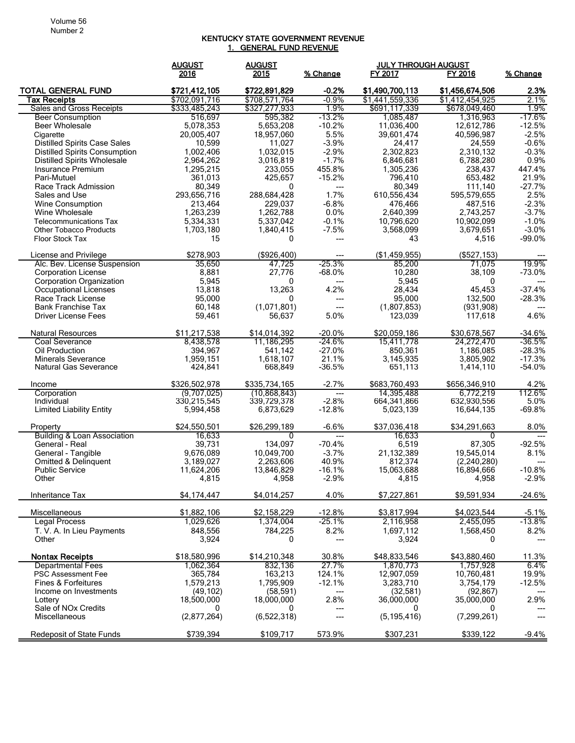## KENTUCKY STATE GOVERNMENT REVENUE 1. GENERAL FUND REVENUE

|                                                | <b>AUGUST</b>          | <b>AUGUST</b>        |                          | <b>JULY THROUGH AUGUST</b> |                         |                   |
|------------------------------------------------|------------------------|----------------------|--------------------------|----------------------------|-------------------------|-------------------|
|                                                | 2016                   | 2015                 | % Change                 | FY 2017                    | FY 2016                 | % Change          |
| <b>TOTAL GENERAL FUND</b>                      | \$721,412,105          | \$722,891,829        | $-0.2%$                  | \$1,490,700,113            | \$1,456,674,506         | 2.3%              |
| Tax Receipts                                   | \$702,091,716          | \$708,571,764        | $-0.9%$                  | \$1,441,559,336            | \$1,412,454,925         | 2.1%              |
| Sales and Gross Receipts                       | \$333,485,243          | \$327,277,933        | 1.9%                     | \$691,117,339              | \$678,049,460           | 1.9%              |
| <b>Beer Consumption</b>                        | 516,697                | 595,382              | $-13.2\%$                | 1,085,487                  | 1,316,963               | -17.6%            |
| <b>Beer Wholesale</b>                          | 5,078,353              | 5,653,208            | $-10.2%$                 | 11,036,400                 | 12,612,786              | $-12.5%$          |
| Cigarette                                      | 20,005,407             | 18,957,060           | 5.5%                     | 39,601,474                 | 40,596,987              | $-2.5%$           |
| <b>Distilled Spirits Case Sales</b>            | 10,599                 | 11,027               | $-3.9%$                  | 24,417                     | 24,559                  | $-0.6%$           |
| <b>Distilled Spirits Consumption</b>           | 1,002,406              | 1,032,015            | $-2.9%$                  | 2,302,823                  | 2,310,132               | $-0.3%$           |
| <b>Distilled Spirits Wholesale</b>             | 2,964,262              | 3,016,819            | $-1.7%$                  | 6,846,681                  | 6,788,280               | 0.9%              |
| Insurance Premium                              | 1,295,215              | 233,055              | 455.8%                   | 1,305,236                  | 238,437                 | 447.4%            |
| Pari-Mutuel                                    | 361,013                | 425,657              | $-15.2%$                 | 796,410                    | 653,482                 | 21.9%             |
| Race Track Admission                           | 80,349                 | 0                    | ---                      | 80,349                     | 111,140                 | $-27.7%$          |
| Sales and Use                                  | 293,656,716            | 288,684,428          | 1.7%                     | 610,556,434                | 595,579,655             | 2.5%<br>$-2.3%$   |
| Wine Consumption<br>Wine Wholesale             | 213,464<br>1,263,239   | 229,037<br>1,262,788 | $-6.8%$<br>0.0%          | 476,466<br>2,640,399       | 487,516<br>2,743,257    | $-3.7%$           |
| <b>Telecommunications Tax</b>                  | 5,334,331              | 5,337,042            | $-0.1%$                  | 10,796,620                 | 10,902,099              | $-1.0%$           |
| <b>Other Tobacco Products</b>                  | 1,703,180              | 1,840,415            | $-7.5%$                  | 3,568,099                  | 3,679,651               | $-3.0%$           |
| Floor Stock Tax                                | 15                     | 0                    | ---                      | 43                         | 4,516                   | $-99.0%$          |
|                                                |                        |                      |                          |                            |                         |                   |
| License and Privilege                          | \$278,903              | ( \$926, 400)        | ---                      | (\$1,459,955)              | (\$527, 153)            |                   |
| Alc. Bev. License Suspension                   | 35,650                 | 47,725               | $-25.3%$                 | 85,200                     | 71,075                  | 19.9%             |
| <b>Corporation License</b>                     | 8,881                  | 27,776               | $-68.0%$                 | 10,280                     | 38,109                  | $-73.0%$          |
| Corporation Organization                       | 5,945<br>13,818        | 0                    | $---$<br>4.2%            | 5,945<br>28,434            | 0<br>45,453             | $-37.4%$          |
| Occupational Licenses<br>Race Track License    | 95,000                 | 13,263<br>0          | ---                      | 95,000                     | 132,500                 | $-28.3%$          |
| <b>Bank Franchise Tax</b>                      | 60,148                 | (1,071,801)          | ---                      | (1,807,853)                | (931, 908)              | $---$             |
| <b>Driver License Fees</b>                     | 59,461                 | 56,637               | 5.0%                     | 123,039                    | 117,618                 | 4.6%              |
|                                                |                        |                      |                          |                            |                         |                   |
| <b>Natural Resources</b>                       | \$11,217,538           | \$14,014,392         | $-20.0\%$                | \$20,059,186               | \$30,678,567            | $-34.6%$          |
| Coal Severance                                 | 8,438,578              | 11,186,295           | -24.6%                   | 15,411,778                 | 24,272,470              | -36.5%            |
| Oil Production                                 | 394,967                | 541,142              | $-27.0%$                 | 850,361                    | 1,186,085               | $-28.3%$          |
| <b>Minerals Severance</b>                      | 1,959,151              | 1,618,107            | 21.1%                    | 3,145,935                  | 3,805,902               | $-17.3%$          |
| <b>Natural Gas Severance</b>                   | 424,841                | 668,849              | -36.5%                   | 651,113                    | 1,414,110               | -54.0%            |
| Income                                         | \$326,502,978          | \$335,734,165        | $-2.7%$                  | \$683,760,493              | \$656,346,910           | 4.2%              |
| Corporation                                    | (9,707,025)            | (10,868,843)         | $\hspace{0.05cm} \ldots$ | 14,395,488                 | 6,772,219               | 112.6%            |
| Individual                                     | 330,215,545            | 339,729,378          | $-2.8%$                  | 664,341,866                | 632,930,556             | 5.0%              |
| <b>Limited Liability Entity</b>                | 5,994,458              | 6,873,629            | $-12.8%$                 | 5,023,139                  | 16,644,135              | $-69.8%$          |
|                                                |                        |                      |                          |                            |                         |                   |
| Property<br>Building & Loan Association        | \$24,550,501<br>16,633 | \$26,299,189<br>0    | $-6.6%$<br>---           | \$37,036,418<br>16,633     | \$34,291,663<br>0       | 8.0%              |
| General - Real                                 | 39,731                 | 134,097              | $-70.4%$                 | 6,519                      | 87,305                  | $-92.5%$          |
| General - Tangible                             | 9,676,089              | 10,049,700           | $-3.7%$                  | 21,132,389                 | 19,545,014              | 8.1%              |
| Omitted & Delinquent                           | 3,189,027              | 2,263,606            | 40.9%                    | 812,374                    | (2.240.280)             | $---$             |
| <b>Public Service</b>                          | 11,624,206             | 13,846,829           | $-16.1%$                 | 15,063,688                 | 16,894,666              | $-10.8%$          |
| Other                                          | 4,815                  | 4,958                | $-2.9%$                  | 4,815                      | 4,958                   | $-2.9%$           |
|                                                |                        |                      |                          |                            |                         |                   |
| Inheritance Tax                                | \$4,174,447            | \$4,014,257          | 4.0%                     | \$7,227,861                | \$9,591,934             | -24.6%            |
| Miscellaneous                                  | \$1,882,106            | \$2,158,229          | $-12.8%$                 | \$3,817,994                | \$4,023,544             | $-5.1%$           |
| <b>Legal Process</b>                           | 1,029,626              | 1,374,004            | $-25.1%$                 | 2,116,958                  | 2,455,095               | $-13.8%$          |
| T. V. A. In Lieu Payments                      | 848,556                | 784,225              | 8.2%                     | 1,697,112                  | 1,568,450               | 8.2%              |
| Other                                          | 3,924                  | 0                    | $---$                    | 3,924                      | 0                       |                   |
|                                                |                        |                      |                          |                            |                         |                   |
| <b>Nontax Receipts</b>                         | \$18,580,996           | \$14,210,348         | 30.8%                    | \$48,833,546               | \$43,880,460            | 11.3%             |
| <b>Departmental Fees</b><br>PSC Assessment Fee | 1,062,364              | 832,136              | 27.7%                    | 1,870,773                  | 1,757,928<br>10,760,481 | 6.4%              |
| Fines & Forfeitures                            | 365,784<br>1,579,213   | 163,213<br>1,795,909 | 124.1%<br>$-12.1%$       | 12,907,059<br>3,283,710    | 3,754,179               | 19.9%<br>$-12.5%$ |
| Income on Investments                          | (49, 102)              | (58, 591)            | ---                      | (32,581)                   | (92, 867)               |                   |
| Lottery                                        | 18,500,000             | 18,000,000           | 2.8%                     | 36,000,000                 | 35,000,000              | 2.9%              |
| Sale of NO <sub>x</sub> Credits                | 0                      | 0                    | ---                      | 0                          | 0                       | ---               |
| Miscellaneous                                  | (2,877,264)            | (6,522,318)          | ---                      | (5, 195, 416)              | (7, 299, 261)           | $---$             |
|                                                |                        |                      |                          |                            |                         |                   |
| <b>Redeposit of State Funds</b>                | \$739,394              | \$109,717            | 573.9%                   | \$307,231                  | \$339,122               | $-9.4%$           |